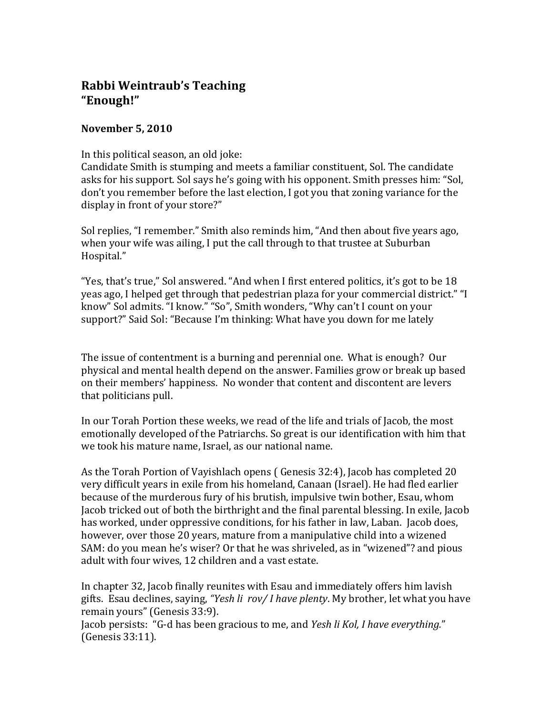## **Rabbi Weintraub's Teaching "Enough!"**

## **November 5, 2010**

In this political season, an old joke:

Candidate Smith is stumping and meets a familiar constituent, Sol. The candidate asks for his support. Sol says he's going with his opponent. Smith presses him: "Sol, don't you remember before the last election, I got you that zoning variance for the display in front of your store?"

Sol replies, "I remember." Smith also reminds him, "And then about five years ago, when your wife was ailing, I put the call through to that trustee at Suburban Hospital."

"Yes, that's true," Sol answered. "And when I first entered politics, it's got to be 18 yeas ago, I helped get through that pedestrian plaza for your commercial district." "I know" Sol admits. "I know." "So", Smith wonders, "Why can't I count on your support?" Said Sol: "Because I'm thinking: What have you down for me lately

The issue of contentment is a burning and perennial one. What is enough? Our physical and mental health depend on the answer. Families grow or break up based on their members' happiness. No wonder that content and discontent are levers that politicians pull.

In our Torah Portion these weeks, we read of the life and trials of Jacob, the most emotionally developed of the Patriarchs. So great is our identification with him that we took his mature name, Israel, as our national name.

As the Torah Portion of Vayishlach opens ( Genesis 32:4), Jacob has completed 20 very difficult years in exile from his homeland, Canaan (Israel). He had fled earlier because of the murderous fury of his brutish, impulsive twin bother, Esau, whom Jacob tricked out of both the birthright and the final parental blessing. In exile, Jacob has worked, under oppressive conditions, for his father in law, Laban. Jacob does, however, over those 20 years, mature from a manipulative child into a wizened SAM: do you mean he's wiser? Or that he was shriveled, as in "wizened"? and pious adult with four wives, 12 children and a vast estate.

In chapter 32, Jacob finally reunites with Esau and immediately offers him lavish gifts. Esau declines, saying, *"Yesh li rov/ I have plenty*. My brother, let what you have remain yours" (Genesis 33:9).

Jacob persists: "G‐d has been gracious to me, and *Yesh li Kol, I have everything.*" (Genesis 33:11).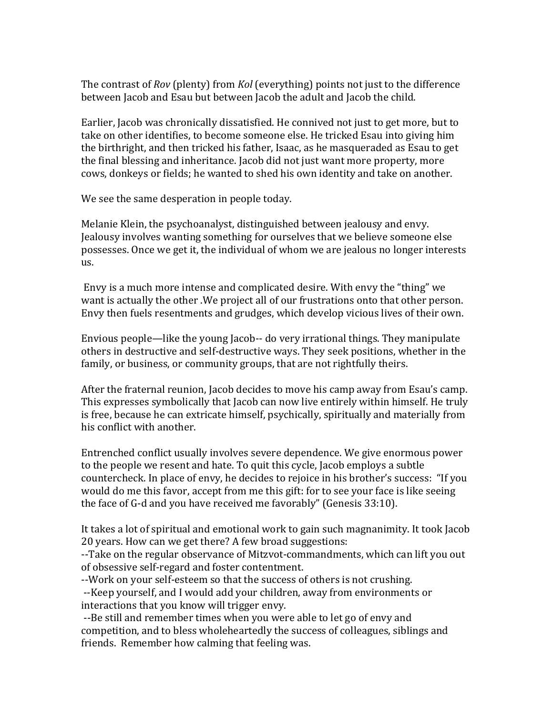The contrast of *Rov* (plenty) from *Kol* (everything) points not just to the difference between Jacob and Esau but between Jacob the adult and Jacob the child.

Earlier, Jacob was chronically dissatisfied. He connived not just to get more, but to take on other identifies, to become someone else. He tricked Esau into giving him the birthright, and then tricked his father, Isaac, as he masqueraded as Esau to get the final blessing and inheritance. Jacob did not just want more property, more cows, donkeys or fields; he wanted to shed his own identity and take on another.

We see the same desperation in people today.

Melanie Klein, the psychoanalyst, distinguished between jealousy and envy. Jealousy involves wanting something for ourselves that we believe someone else possesses. Once we get it, the individual of whom we are jealous no longer interests us.

 Envy is a much more intense and complicated desire. With envy the "thing" we want is actually the other .We project all of our frustrations onto that other person. Envy then fuels resentments and grudges, which develop vicious lives of their own.

Envious people—like the young Jacob‐‐ do very irrational things. They manipulate others in destructive and self‐destructive ways. They seek positions, whether in the family, or business, or community groups, that are not rightfully theirs.

After the fraternal reunion, Jacob decides to move his camp away from Esau's camp. This expresses symbolically that Jacob can now live entirely within himself. He truly is free, because he can extricate himself, psychically, spiritually and materially from his conflict with another.

Entrenched conflict usually involves severe dependence. We give enormous power to the people we resent and hate. To quit this cycle, Jacob employs a subtle countercheck. In place of envy, he decides to rejoice in his brother's success: "If you would do me this favor, accept from me this gift: for to see your face is like seeing the face of G‐d and you have received me favorably" (Genesis 33:10).

It takes a lot of spiritual and emotional work to gain such magnanimity. It took Jacob 20 years. How can we get there? A few broad suggestions:

‐‐Take on the regular observance of Mitzvot‐commandments, which can lift you out of obsessive self‐regard and foster contentment.

‐‐Work on your self‐esteem so that the success of others is not crushing. ‐‐Keep yourself, and I would add your children, away from environments or interactions that you know will trigger envy.

 ‐‐Be still and remember times when you were able to let go of envy and competition, and to bless wholeheartedly the success of colleagues, siblings and friends. Remember how calming that feeling was.